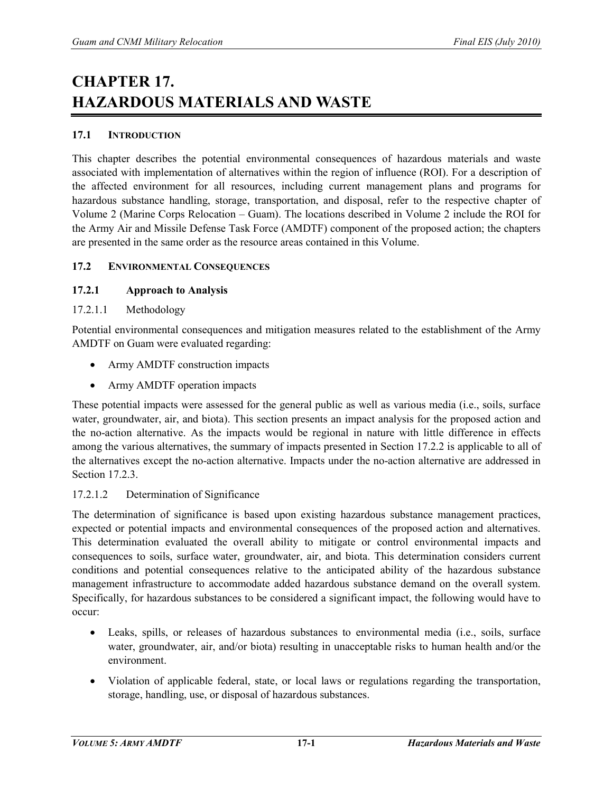# **CHAPTER 17. HAZARDOUS MATERIALS AND WASTE**

## **17.1 INTRODUCTION**

This chapter describes the potential environmental consequences of hazardous materials and waste associated with implementation of alternatives within the region of influence (ROI). For a description of the affected environment for all resources, including current management plans and programs for hazardous substance handling, storage, transportation, and disposal, refer to the respective chapter of Volume 2 (Marine Corps Relocation – Guam). The locations described in Volume 2 include the ROI for the Army Air and Missile Defense Task Force (AMDTF) component of the proposed action; the chapters are presented in the same order as the resource areas contained in this Volume.

#### **17.2 ENVIRONMENTAL CONSEQUENCES**

## **17.2.1 Approach to Analysis**

17.2.1.1 Methodology

Potential environmental consequences and mitigation measures related to the establishment of the Army AMDTF on Guam were evaluated regarding:

- Army AMDTF construction impacts
- Army AMDTF operation impacts

These potential impacts were assessed for the general public as well as various media (i.e., soils, surface water, groundwater, air, and biota). This section presents an impact analysis for the proposed action and the no-action alternative. As the impacts would be regional in nature with little difference in effects among the various alternatives, the summary of impacts presented in Section 17.2.2 is applicable to all of the alternatives except the no-action alternative. Impacts under the no-action alternative are addressed in Section 17.2.3.

#### 17.2.1.2 Determination of Significance

The determination of significance is based upon existing hazardous substance management practices, expected or potential impacts and environmental consequences of the proposed action and alternatives. This determination evaluated the overall ability to mitigate or control environmental impacts and consequences to soils, surface water, groundwater, air, and biota. This determination considers current conditions and potential consequences relative to the anticipated ability of the hazardous substance management infrastructure to accommodate added hazardous substance demand on the overall system. Specifically, for hazardous substances to be considered a significant impact, the following would have to occur:

- Leaks, spills, or releases of hazardous substances to environmental media (i.e., soils, surface water, groundwater, air, and/or biota) resulting in unacceptable risks to human health and/or the environment.
- Violation of applicable federal, state, or local laws or regulations regarding the transportation, storage, handling, use, or disposal of hazardous substances.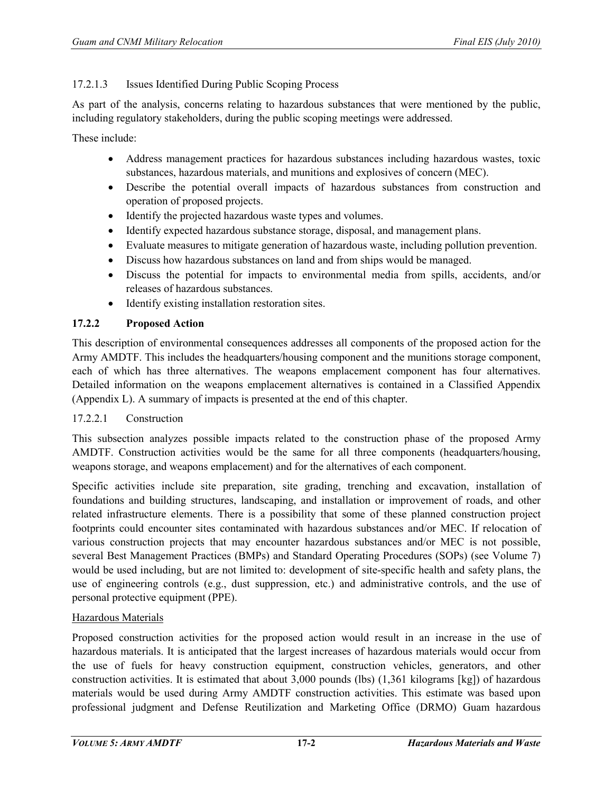## 17.2.1.3 Issues Identified During Public Scoping Process

As part of the analysis, concerns relating to hazardous substances that were mentioned by the public, including regulatory stakeholders, during the public scoping meetings were addressed.

These include:

- Address management practices for hazardous substances including hazardous wastes, toxic substances, hazardous materials, and munitions and explosives of concern (MEC).
- Describe the potential overall impacts of hazardous substances from construction and operation of proposed projects.
- Identify the projected hazardous waste types and volumes.
- Identify expected hazardous substance storage, disposal, and management plans.
- Evaluate measures to mitigate generation of hazardous waste, including pollution prevention.
- Discuss how hazardous substances on land and from ships would be managed.
- Discuss the potential for impacts to environmental media from spills, accidents, and/or releases of hazardous substances.
- Identify existing installation restoration sites.

## **17.2.2 Proposed Action**

This description of environmental consequences addresses all components of the proposed action for the Army AMDTF. This includes the headquarters/housing component and the munitions storage component, each of which has three alternatives. The weapons emplacement component has four alternatives. Detailed information on the weapons emplacement alternatives is contained in a Classified Appendix (Appendix L). A summary of impacts is presented at the end of this chapter.

#### 17.2.2.1 Construction

This subsection analyzes possible impacts related to the construction phase of the proposed Army AMDTF. Construction activities would be the same for all three components (headquarters/housing, weapons storage, and weapons emplacement) and for the alternatives of each component.

Specific activities include site preparation, site grading, trenching and excavation, installation of foundations and building structures, landscaping, and installation or improvement of roads, and other related infrastructure elements. There is a possibility that some of these planned construction project footprints could encounter sites contaminated with hazardous substances and/or MEC. If relocation of various construction projects that may encounter hazardous substances and/or MEC is not possible, several Best Management Practices (BMPs) and Standard Operating Procedures (SOPs) (see Volume 7) would be used including, but are not limited to: development of site-specific health and safety plans, the use of engineering controls (e.g., dust suppression, etc.) and administrative controls, and the use of personal protective equipment (PPE).

#### Hazardous Materials

Proposed construction activities for the proposed action would result in an increase in the use of hazardous materials. It is anticipated that the largest increases of hazardous materials would occur from the use of fuels for heavy construction equipment, construction vehicles, generators, and other construction activities. It is estimated that about 3,000 pounds (lbs) (1,361 kilograms [kg]) of hazardous materials would be used during Army AMDTF construction activities. This estimate was based upon professional judgment and Defense Reutilization and Marketing Office (DRMO) Guam hazardous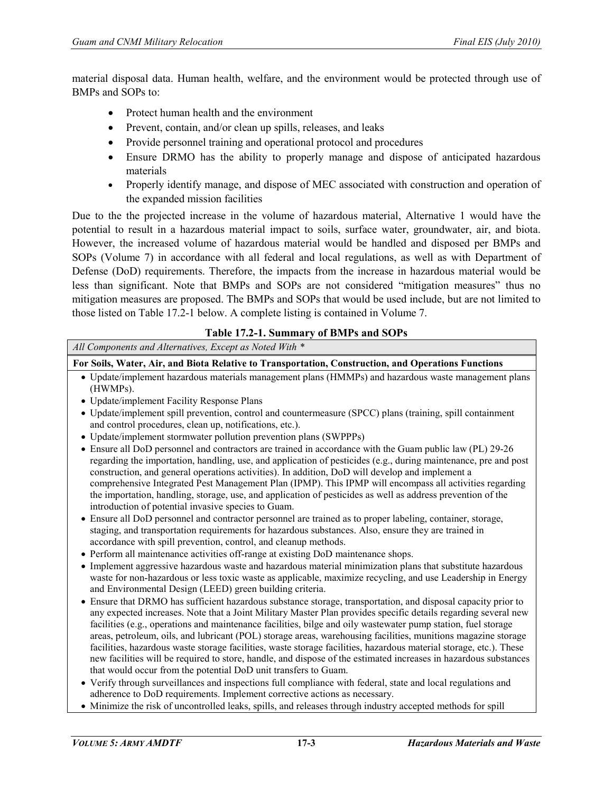material disposal data. Human health, welfare, and the environment would be protected through use of BMPs and SOPs to:

- Protect human health and the environment
- Prevent, contain, and/or clean up spills, releases, and leaks
- Provide personnel training and operational protocol and procedures
- Ensure DRMO has the ability to properly manage and dispose of anticipated hazardous materials
- Properly identify manage, and dispose of MEC associated with construction and operation of the expanded mission facilities

Due to the the projected increase in the volume of hazardous material, Alternative 1 would have the potential to result in a hazardous material impact to soils, surface water, groundwater, air, and biota. However, the increased volume of hazardous material would be handled and disposed per BMPs and SOPs (Volume 7) in accordance with all federal and local regulations, as well as with Department of Defense (DoD) requirements. Therefore, the impacts from the increase in hazardous material would be less than significant. Note that BMPs and SOPs are not considered "mitigation measures" thus no mitigation measures are proposed. The BMPs and SOPs that would be used include, but are not limited to those listed on Table 17.2-1 below. A complete listing is contained in Volume 7.

#### **Table 17.2-1. Summary of BMPs and SOPs**

*All Components and Alternatives, Except as Noted With \**

**For Soils, Water, Air, and Biota Relative to Transportation, Construction, and Operations Functions**

- Update/implement hazardous materials management plans (HMMPs) and hazardous waste management plans (HWMPs).
- Update/implement Facility Response Plans
- Update/implement spill prevention, control and countermeasure (SPCC) plans (training, spill containment and control procedures, clean up, notifications, etc.).
- Update/implement stormwater pollution prevention plans (SWPPPs)
- Ensure all DoD personnel and contractors are trained in accordance with the Guam public law (PL) 29-26 regarding the importation, handling, use, and application of pesticides (e.g., during maintenance, pre and post construction, and general operations activities). In addition, DoD will develop and implement a comprehensive Integrated Pest Management Plan (IPMP). This IPMP will encompass all activities regarding the importation, handling, storage, use, and application of pesticides as well as address prevention of the introduction of potential invasive species to Guam.
- Ensure all DoD personnel and contractor personnel are trained as to proper labeling, container, storage, staging, and transportation requirements for hazardous substances. Also, ensure they are trained in accordance with spill prevention, control, and cleanup methods.
- Perform all maintenance activities off-range at existing DoD maintenance shops.
- Implement aggressive hazardous waste and hazardous material minimization plans that substitute hazardous waste for non-hazardous or less toxic waste as applicable, maximize recycling, and use Leadership in Energy and Environmental Design (LEED) green building criteria.
- Ensure that DRMO has sufficient hazardous substance storage, transportation, and disposal capacity prior to any expected increases. Note that a Joint Military Master Plan provides specific details regarding several new facilities (e.g., operations and maintenance facilities, bilge and oily wastewater pump station, fuel storage areas, petroleum, oils, and lubricant (POL) storage areas, warehousing facilities, munitions magazine storage facilities, hazardous waste storage facilities, waste storage facilities, hazardous material storage, etc.). These new facilities will be required to store, handle, and dispose of the estimated increases in hazardous substances that would occur from the potential DoD unit transfers to Guam.
- Verify through surveillances and inspections full compliance with federal, state and local regulations and adherence to DoD requirements. Implement corrective actions as necessary.
- Minimize the risk of uncontrolled leaks, spills, and releases through industry accepted methods for spill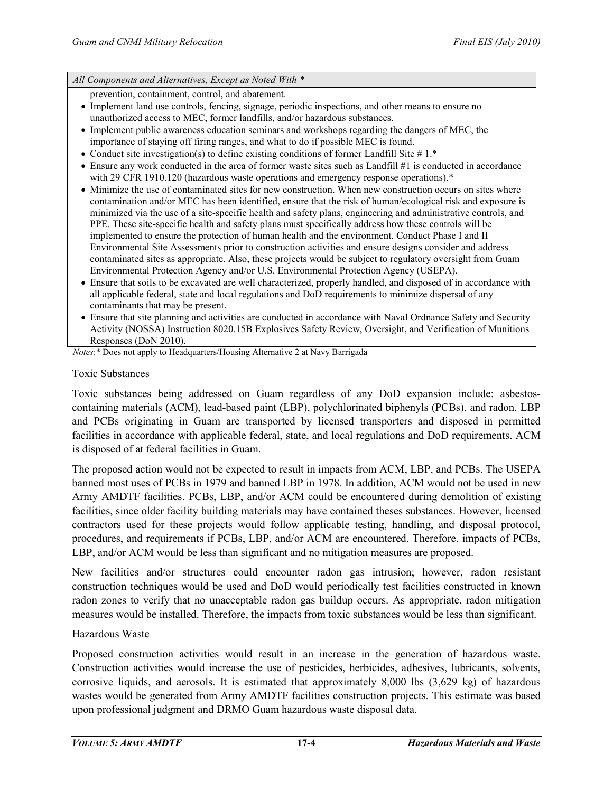*All Components and Alternatives, Except as Noted With \**

prevention, containment, control, and abatement.

- Implement land use controls, fencing, signage, periodic inspections, and other means to ensure no unauthorized access to MEC, former landfills, and/or hazardous substances.
- Implement public awareness education seminars and workshops regarding the dangers of MEC, the importance of staying off firing ranges, and what to do if possible MEC is found.
- Conduct site investigation(s) to define existing conditions of former Landfill Site  $# 1.*$
- Ensure any work conducted in the area of former waste sites such as Landfill #1 is conducted in accordance with 29 CFR 1910.120 (hazardous waste operations and emergency response operations).<sup>\*</sup>
- Minimize the use of contaminated sites for new construction. When new construction occurs on sites where contamination and/or MEC has been identified, ensure that the risk of human/ecological risk and exposure is minimized via the use of a site-specific health and safety plans, engineering and administrative controls, and PPE. These site-specific health and safety plans must specifically address how these controls will be implemented to ensure the protection of human health and the environment. Conduct Phase I and II Environmental Site Assessments prior to construction activities and ensure designs consider and address contaminated sites as appropriate. Also, these projects would be subject to regulatory oversight from Guam Environmental Protection Agency and/or U.S. Environmental Protection Agency (USEPA).
- Ensure that soils to be excavated are well characterized, properly handled, and disposed of in accordance with all applicable federal, state and local regulations and DoD requirements to minimize dispersal of any contaminants that may be present.
- Ensure that site planning and activities are conducted in accordance with Naval Ordnance Safety and Security Activity (NOSSA) Instruction 8020.15B Explosives Safety Review, Oversight, and Verification of Munitions Responses (DoN 2010).

*Notes*:\* Does not apply to Headquarters/Housing Alternative 2 at Navy Barrigada

#### Toxic Substances

Toxic substances being addressed on Guam regardless of any DoD expansion include: asbestoscontaining materials (ACM), lead-based paint (LBP), polychlorinated biphenyls (PCBs), and radon. LBP and PCBs originating in Guam are transported by licensed transporters and disposed in permitted facilities in accordance with applicable federal, state, and local regulations and DoD requirements. ACM is disposed of at federal facilities in Guam.

The proposed action would not be expected to result in impacts from ACM, LBP, and PCBs. The USEPA banned most uses of PCBs in 1979 and banned LBP in 1978. In addition, ACM would not be used in new Army AMDTF facilities. PCBs, LBP, and/or ACM could be encountered during demolition of existing facilities, since older facility building materials may have contained theses substances. However, licensed contractors used for these projects would follow applicable testing, handling, and disposal protocol, procedures, and requirements if PCBs, LBP, and/or ACM are encountered. Therefore, impacts of PCBs, LBP, and/or ACM would be less than significant and no mitigation measures are proposed.

New facilities and/or structures could encounter radon gas intrusion; however, radon resistant construction techniques would be used and DoD would periodically test facilities constructed in known radon zones to verify that no unacceptable radon gas buildup occurs. As appropriate, radon mitigation measures would be installed. Therefore, the impacts from toxic substances would be less than significant.

#### Hazardous Waste

Proposed construction activities would result in an increase in the generation of hazardous waste. Construction activities would increase the use of pesticides, herbicides, adhesives, lubricants, solvents, corrosive liquids, and aerosols. It is estimated that approximately 8,000 lbs (3,629 kg) of hazardous wastes would be generated from Army AMDTF facilities construction projects. This estimate was based upon professional judgment and DRMO Guam hazardous waste disposal data.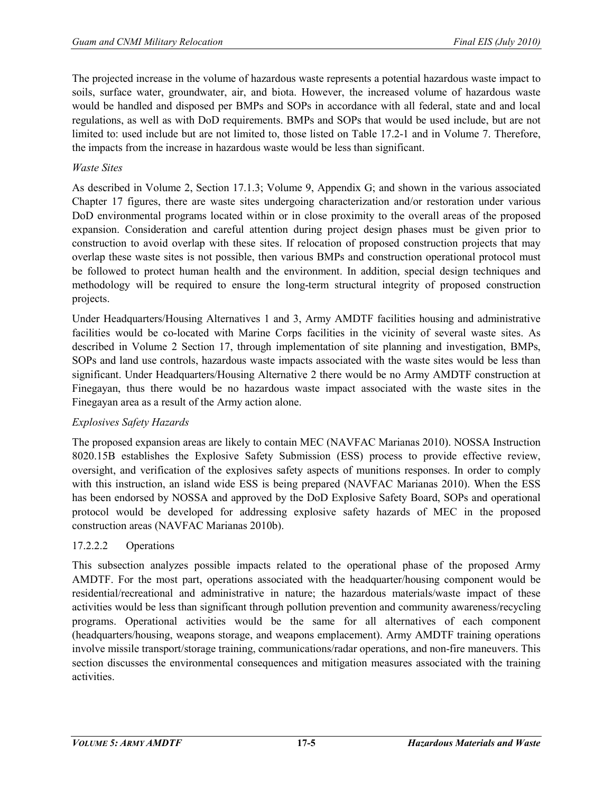The projected increase in the volume of hazardous waste represents a potential hazardous waste impact to soils, surface water, groundwater, air, and biota. However, the increased volume of hazardous waste would be handled and disposed per BMPs and SOPs in accordance with all federal, state and and local regulations, as well as with DoD requirements. BMPs and SOPs that would be used include, but are not limited to: used include but are not limited to, those listed on Table 17.2-1 and in Volume 7. Therefore, the impacts from the increase in hazardous waste would be less than significant.

#### *Waste Sites*

As described in Volume 2, Section 17.1.3; Volume 9, Appendix G; and shown in the various associated Chapter 17 figures, there are waste sites undergoing characterization and/or restoration under various DoD environmental programs located within or in close proximity to the overall areas of the proposed expansion. Consideration and careful attention during project design phases must be given prior to construction to avoid overlap with these sites. If relocation of proposed construction projects that may overlap these waste sites is not possible, then various BMPs and construction operational protocol must be followed to protect human health and the environment. In addition, special design techniques and methodology will be required to ensure the long-term structural integrity of proposed construction projects.

Under Headquarters/Housing Alternatives 1 and 3, Army AMDTF facilities housing and administrative facilities would be co-located with Marine Corps facilities in the vicinity of several waste sites. As described in Volume 2 Section 17, through implementation of site planning and investigation, BMPs, SOPs and land use controls, hazardous waste impacts associated with the waste sites would be less than significant. Under Headquarters/Housing Alternative 2 there would be no Army AMDTF construction at Finegayan, thus there would be no hazardous waste impact associated with the waste sites in the Finegayan area as a result of the Army action alone.

#### *Explosives Safety Hazards*

The proposed expansion areas are likely to contain MEC (NAVFAC Marianas 2010). NOSSA Instruction 8020.15B establishes the Explosive Safety Submission (ESS) process to provide effective review, oversight, and verification of the explosives safety aspects of munitions responses. In order to comply with this instruction, an island wide ESS is being prepared (NAVFAC Marianas 2010). When the ESS has been endorsed by NOSSA and approved by the DoD Explosive Safety Board, SOPs and operational protocol would be developed for addressing explosive safety hazards of MEC in the proposed construction areas (NAVFAC Marianas 2010b).

# 17.2.2.2 Operations

This subsection analyzes possible impacts related to the operational phase of the proposed Army AMDTF. For the most part, operations associated with the headquarter/housing component would be residential/recreational and administrative in nature; the hazardous materials/waste impact of these activities would be less than significant through pollution prevention and community awareness/recycling programs. Operational activities would be the same for all alternatives of each component (headquarters/housing, weapons storage, and weapons emplacement). Army AMDTF training operations involve missile transport/storage training, communications/radar operations, and non-fire maneuvers. This section discusses the environmental consequences and mitigation measures associated with the training activities.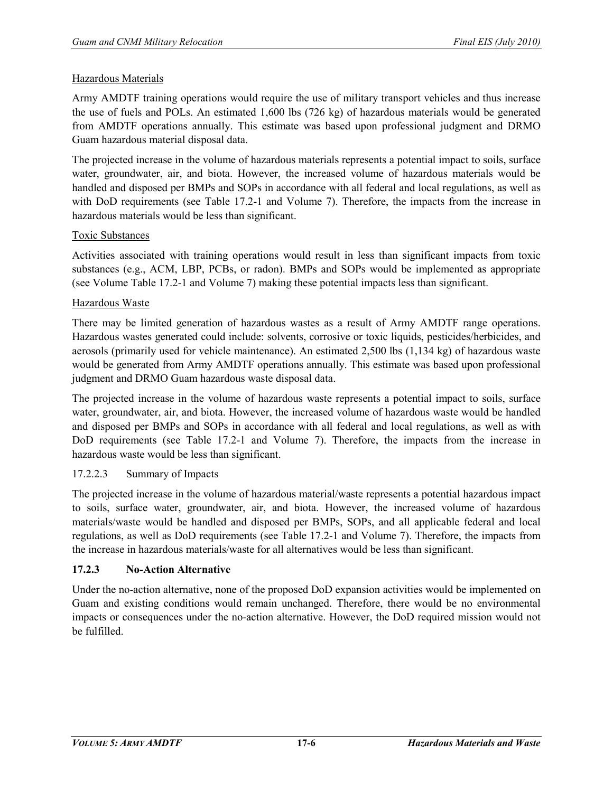#### Hazardous Materials

Army AMDTF training operations would require the use of military transport vehicles and thus increase the use of fuels and POLs. An estimated 1,600 lbs (726 kg) of hazardous materials would be generated from AMDTF operations annually. This estimate was based upon professional judgment and DRMO Guam hazardous material disposal data.

The projected increase in the volume of hazardous materials represents a potential impact to soils, surface water, groundwater, air, and biota. However, the increased volume of hazardous materials would be handled and disposed per BMPs and SOPs in accordance with all federal and local regulations, as well as with DoD requirements (see Table 17.2-1 and Volume 7). Therefore, the impacts from the increase in hazardous materials would be less than significant.

#### Toxic Substances

Activities associated with training operations would result in less than significant impacts from toxic substances (e.g., ACM, LBP, PCBs, or radon). BMPs and SOPs would be implemented as appropriate (see Volume Table 17.2-1 and Volume 7) making these potential impacts less than significant.

#### Hazardous Waste

There may be limited generation of hazardous wastes as a result of Army AMDTF range operations. Hazardous wastes generated could include: solvents, corrosive or toxic liquids, pesticides/herbicides, and aerosols (primarily used for vehicle maintenance). An estimated 2,500 lbs (1,134 kg) of hazardous waste would be generated from Army AMDTF operations annually. This estimate was based upon professional judgment and DRMO Guam hazardous waste disposal data.

The projected increase in the volume of hazardous waste represents a potential impact to soils, surface water, groundwater, air, and biota. However, the increased volume of hazardous waste would be handled and disposed per BMPs and SOPs in accordance with all federal and local regulations, as well as with DoD requirements (see Table 17.2-1 and Volume 7). Therefore, the impacts from the increase in hazardous waste would be less than significant.

#### 17.2.2.3 Summary of Impacts

The projected increase in the volume of hazardous material/waste represents a potential hazardous impact to soils, surface water, groundwater, air, and biota. However, the increased volume of hazardous materials/waste would be handled and disposed per BMPs, SOPs, and all applicable federal and local regulations, as well as DoD requirements (see Table 17.2-1 and Volume 7). Therefore, the impacts from the increase in hazardous materials/waste for all alternatives would be less than significant.

# **17.2.3 No-Action Alternative**

Under the no-action alternative, none of the proposed DoD expansion activities would be implemented on Guam and existing conditions would remain unchanged. Therefore, there would be no environmental impacts or consequences under the no-action alternative. However, the DoD required mission would not be fulfilled.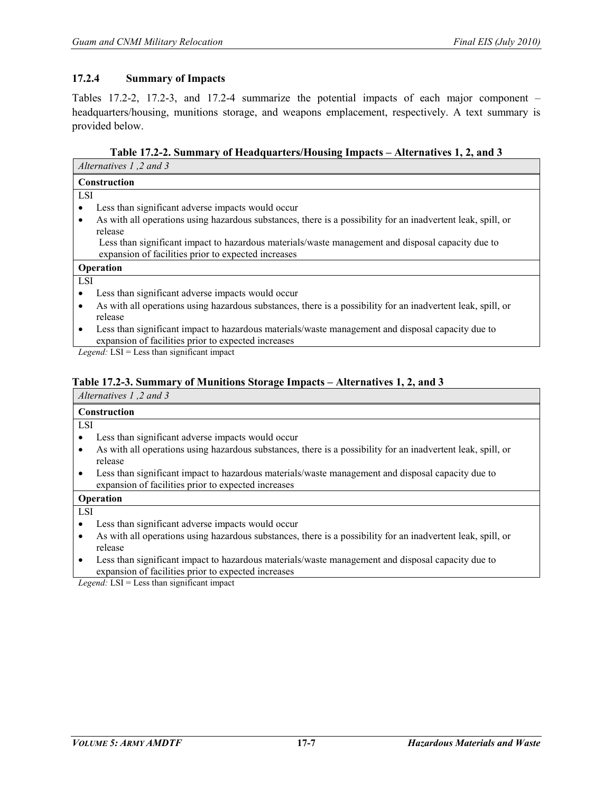#### **17.2.4 Summary of Impacts**

Tables 17.2-2, 17.2-3, and 17.2-4 summarize the potential impacts of each major component – headquarters/housing, munitions storage, and weapons emplacement, respectively. A text summary is provided below.

**Table 17.2-2. Summary of Headquarters/Housing Impacts – Alternatives 1, 2, and 3** 

| Alternatives 1,2 and 3                                                                                                                                                                                                                                                                                                             |  |  |
|------------------------------------------------------------------------------------------------------------------------------------------------------------------------------------------------------------------------------------------------------------------------------------------------------------------------------------|--|--|
| Construction                                                                                                                                                                                                                                                                                                                       |  |  |
| <b>LSI</b>                                                                                                                                                                                                                                                                                                                         |  |  |
| Less than significant adverse impacts would occur                                                                                                                                                                                                                                                                                  |  |  |
| As with all operations using hazardous substances, there is a possibility for an inadvertent leak, spill, or                                                                                                                                                                                                                       |  |  |
| release                                                                                                                                                                                                                                                                                                                            |  |  |
| Less than significant impact to hazardous materials/waste management and disposal capacity due to                                                                                                                                                                                                                                  |  |  |
| expansion of facilities prior to expected increases                                                                                                                                                                                                                                                                                |  |  |
| Operation                                                                                                                                                                                                                                                                                                                          |  |  |
| LSI                                                                                                                                                                                                                                                                                                                                |  |  |
| Less than significant adverse impacts would occur                                                                                                                                                                                                                                                                                  |  |  |
| As with all operations using hazardous substances, there is a possibility for an inadvertent leak, spill, or                                                                                                                                                                                                                       |  |  |
| release                                                                                                                                                                                                                                                                                                                            |  |  |
| Less than significant impact to hazardous materials/waste management and disposal capacity due to<br>$\bullet$                                                                                                                                                                                                                     |  |  |
| expansion of facilities prior to expected increases                                                                                                                                                                                                                                                                                |  |  |
| $\mathbf{1}$ $\mathbf{1}$ $\mathbf{1}$ $\mathbf{1}$ $\mathbf{1}$ $\mathbf{1}$ $\mathbf{1}$ $\mathbf{1}$ $\mathbf{1}$ $\mathbf{1}$ $\mathbf{1}$ $\mathbf{1}$ $\mathbf{1}$ $\mathbf{1}$ $\mathbf{1}$ $\mathbf{1}$ $\mathbf{1}$ $\mathbf{1}$ $\mathbf{1}$ $\mathbf{1}$ $\mathbf{1}$ $\mathbf{1}$ $\mathbf{1}$ $\mathbf{1}$ $\mathbf{$ |  |  |

*Legend:* LSI = Less than significant impact

#### **Table 17.2-3. Summary of Munitions Storage Impacts – Alternatives 1, 2, and 3**

*Alternatives 1 ,2 and 3*

| <b>Construction</b> |                                                                                                              |
|---------------------|--------------------------------------------------------------------------------------------------------------|
| -LSI                |                                                                                                              |
|                     | Less than significant adverse impacts would occur                                                            |
|                     | As with all operations using hazardous substances, there is a possibility for an inadvertent leak, spill, or |

- release
- Less than significant impact to hazardous materials/waste management and disposal capacity due to expansion of facilities prior to expected increases

**Operation**

LSI

- Less than significant adverse impacts would occur
- As with all operations using hazardous substances, there is a possibility for an inadvertent leak, spill, or release
- Less than significant impact to hazardous materials/waste management and disposal capacity due to expansion of facilities prior to expected increases

*Legend:* LSI = Less than significant impact